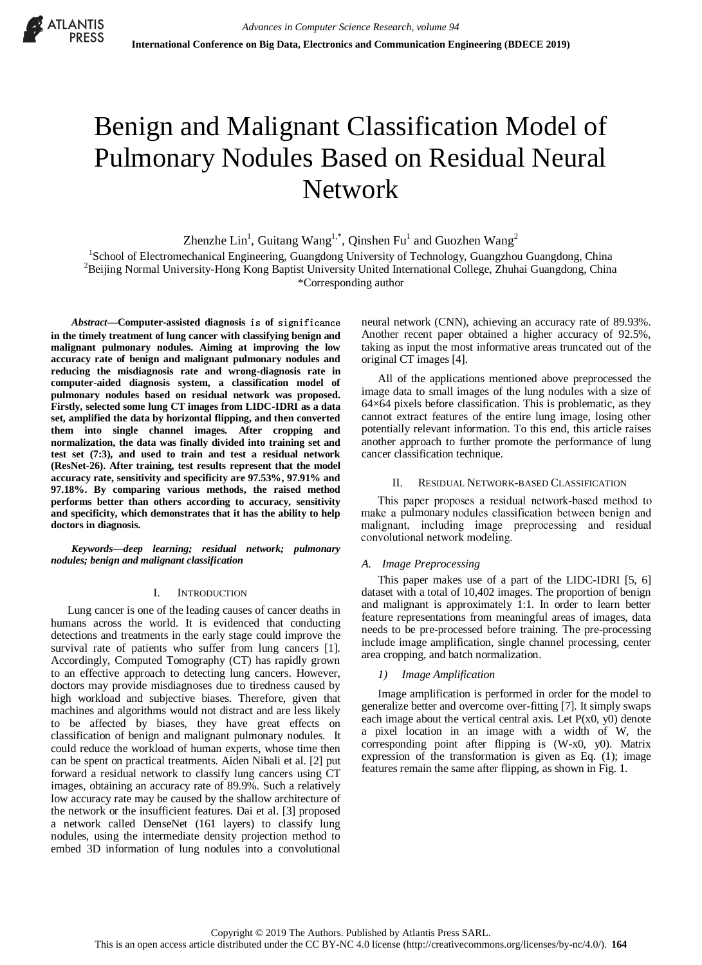

# Benign and Malignant Classification Model of Pulmonary Nodules Based on Residual Neural Network

Zhenzhe Lin<sup>1</sup>, Guitang Wang<sup>1,\*</sup>, Qinshen Fu<sup>1</sup> and Guozhen Wang<sup>2</sup>

<sup>1</sup>School of Electromechanical Engineering, Guangdong University of Technology, Guangzhou Guangdong, China <sup>2</sup>Beijing Normal University-Hong Kong Baptist University United International College, Zhuhai Guangdong, China \*Corresponding author

*Abstract—***Computer-assisted diagnosis** is **of** significance **in the timely treatment of lung cancer with classifying benign and malignant pulmonary nodules. Aiming at improving the low accuracy rate of benign and malignant pulmonary nodules and reducing the misdiagnosis rate and wrong-diagnosis rate in computer-aided diagnosis system, a classification model of pulmonary nodules based on residual network was proposed. Firstly, selected some lung CT images from LIDC-IDRI as a data set, amplified the data by horizontal flipping, and then converted them into single channel images. After cropping and normalization, the data was finally divided into training set and test set (7:3), and used to train and test a residual network (ResNet-26). After training, test results represent that the model accuracy rate, sensitivity and specificity are 97.53%, 97.91% and 97.18%. By comparing various methods, the raised method performs better than others according to accuracy, sensitivity and specificity, which demonstrates that it has the ability to help doctors in diagnosis.**

*Keywords—deep learning; residual network; pulmonary nodules; benign and malignant classification*

# I. INTRODUCTION

Lung cancer is one of the leading causes of cancer deaths in humans across the world. It is evidenced that conducting detections and treatments in the early stage could improve the survival rate of patients who suffer from lung cancers [1]. Accordingly, Computed Tomography (CT) has rapidly grown to an effective approach to detecting lung cancers. However, doctors may provide misdiagnoses due to tiredness caused by high workload and subjective biases. Therefore, given that machines and algorithms would not distract and are less likely to be affected by biases, they have great effects on classification of benign and malignant pulmonary nodules. It could reduce the workload of human experts, whose time then can be spent on practical treatments. Aiden Nibali et al. [2] put forward a residual network to classify lung cancers using CT images, obtaining an accuracy rate of 89.9%. Such a relatively low accuracy rate may be caused by the shallow architecture of the network or the insufficient features. Dai et al. [3] proposed a network called DenseNet (161 layers) to classify lung nodules, using the intermediate density projection method to embed 3D information of lung nodules into a convolutional

neural network (CNN), achieving an accuracy rate of 89.93%. Another recent paper obtained a higher accuracy of 92.5%, taking as input the most informative areas truncated out of the original CT images [4].

All of the applications mentioned above preprocessed the image data to small images of the lung nodules with a size of  $64\times64$  pixels before classification. This is problematic, as they cannot extract features of the entire lung image, losing other potentially relevant information. To this end, this article raises another approach to further promote the performance of lung cancer classification technique.

# II. RESIDUAL NETWORK-BASED CLASSIFICATION

This paper proposes a residual network-based method to make a pulmonary nodules classification between benign and malignant, including image preprocessing and residual convolutional network modeling.

# *A. Image Preprocessing*

This paper makes use of a part of the LIDC-IDRI [5, 6] dataset with a total of 10,402 images. The proportion of benign and malignant is approximately 1:1. In order to learn better feature representations from meaningful areas of images, data needs to be pre-processed before training. The pre-processing include image amplification, single channel processing, center area cropping, and batch normalization.

# *1) Image Amplification*

Image amplification is performed in order for the model to generalize better and overcome over-fitting [7]. It simply swaps each image about the vertical central axis. Let  $P(x0, y0)$  denote a pixel location in an image with a width of W, the corresponding point after flipping is (W-x0, y0). Matrix expression of the transformation is given as Eq. (1); image features remain the same after flipping, as shown in Fig. 1.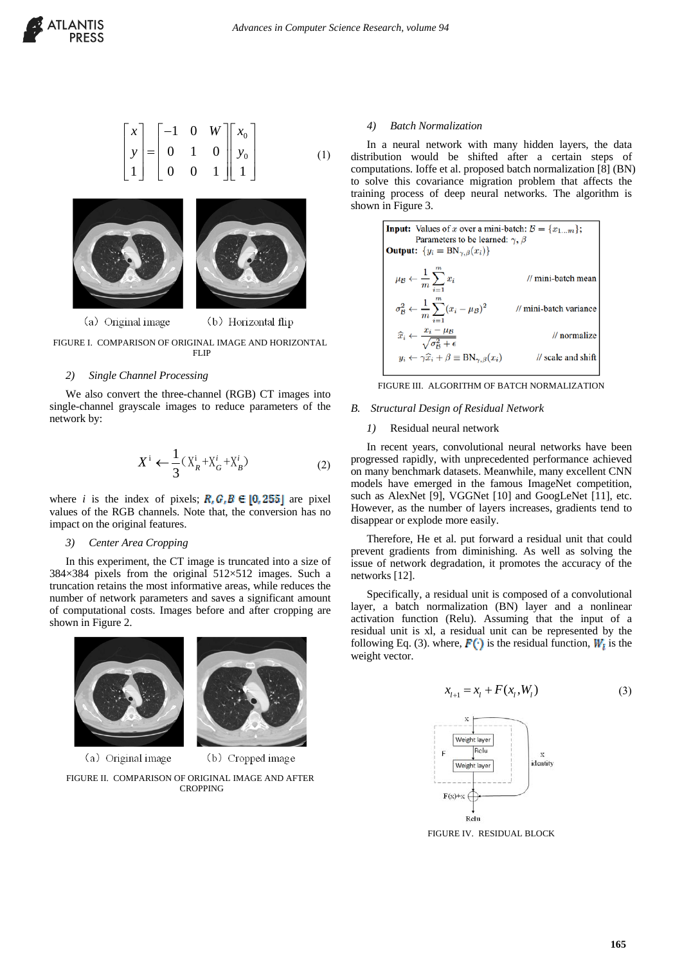

$$
\begin{bmatrix} x \\ y \\ 1 \end{bmatrix} = \begin{bmatrix} -1 & 0 & W \\ 0 & 1 & 0 \\ 0 & 0 & 1 \end{bmatrix} \begin{bmatrix} x_0 \\ y_0 \\ 1 \end{bmatrix}
$$
 (1)



(a) Original image (b) Horizontal flip

FIGURE I. COMPARISON OF ORIGINAL IMAGE AND HORIZONTAL FLIP

#### *2) Single Channel Processing*

We also convert the three-channel (RGB) CT images into single-channel grayscale images to reduce parameters of the network by:

$$
X^i \leftarrow \frac{1}{3} (X^i_R + X^i_G + X^i_B) \tag{2}
$$

where *i* is the index of pixels;  $R_i G_i B \in [0, 255]$  are pixel values of the RGB channels. Note that, the conversion has no impact on the original features.

#### *3) Center Area Cropping*

In this experiment, the CT image is truncated into a size of 384×384 pixels from the original 512×512 images. Such a truncation retains the most informative areas, while reduces the number of network parameters and saves a significant amount of computational costs. Images before and after cropping are shown in Figure 2.



(a) Original image

(b) Cropped image

FIGURE II. COMPARISON OF ORIGINAL IMAGE AND AFTER CROPPING

# *4) Batch Normalization*

In a neural network with many hidden layers, the data distribution would be shifted after a certain steps of computations. Ioffe et al. proposed batch normalization [8] (BN) to solve this covariance migration problem that affects the training process of deep neural networks. The algorithm is shown in Figure 3.



FIGURE III. ALGORITHM OF BATCH NORMALIZATION

### *B. Structural Design of Residual Network*

#### *1)* Residual neural network

In recent years, convolutional neural networks have been progressed rapidly, with unprecedented performance achieved on many benchmark datasets. Meanwhile, many excellent CNN models have emerged in the famous ImageNet competition, such as AlexNet [9], VGGNet [10] and GoogLeNet [11], etc. However, as the number of layers increases, gradients tend to disappear or explode more easily.

Therefore, He et al. put forward a residual unit that could prevent gradients from diminishing. As well as solving the issue of network degradation, it promotes the accuracy of the networks [12].

Specifically, a residual unit is composed of a convolutional layer, a batch normalization (BN) layer and a nonlinear activation function (Relu). Assuming that the input of a residual unit is xl, a residual unit can be represented by the following Eq. (3). where,  $\mathbf{F}(\cdot)$  is the residual function,  $W_t$  is the weight vector.

$$
x_{l+1} = x_l + F(x_l, W_l)
$$
 (3)



FIGURE IV. RESIDUAL BLOCK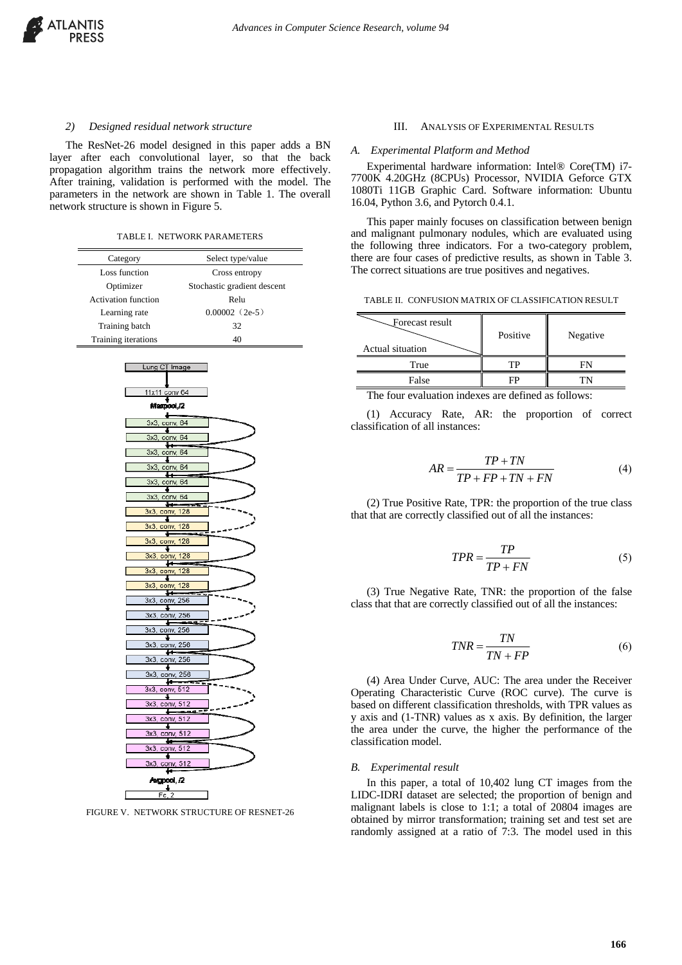

## *2) Designed residual network structure*

The ResNet-26 model designed in this paper adds a BN layer after each convolutional layer, so that the back propagation algorithm trains the network more effectively. After training, validation is performed with the model. The parameters in the network are shown in Table 1. The overall network structure is shown in Figure 5.

TABLE I. NETWORK PARAMETERS

| IABLE I. NEI WUKK PAKAMEIEKS |                             |  |  |  |  |  |
|------------------------------|-----------------------------|--|--|--|--|--|
| Category                     | Select type/value           |  |  |  |  |  |
| Loss function                | Cross entropy               |  |  |  |  |  |
| Optimizer                    | Stochastic gradient descent |  |  |  |  |  |
| <b>Activation function</b>   | Relu                        |  |  |  |  |  |
| Learning rate                | $0.00002$ (2e-5)            |  |  |  |  |  |
| Training batch               | 32                          |  |  |  |  |  |
| Training iterations          | 40                          |  |  |  |  |  |
|                              |                             |  |  |  |  |  |
| Lung CT Image                |                             |  |  |  |  |  |
|                              |                             |  |  |  |  |  |
| 11x11 conv 64                |                             |  |  |  |  |  |
| Maxpool,/2                   |                             |  |  |  |  |  |
| 3x3, conv, 64                |                             |  |  |  |  |  |
| ÷<br>3x3, conv, 64           |                             |  |  |  |  |  |
| ₩<br>3x3                     | conv, 64                    |  |  |  |  |  |
| Ŧ                            |                             |  |  |  |  |  |
| 3x3, conv, 64<br>н           |                             |  |  |  |  |  |
| 3x3, conv, 64<br>Ŧ           |                             |  |  |  |  |  |
| 3x3, conv, 64<br>÷           |                             |  |  |  |  |  |
| 3x3, conv, 128<br>۰          |                             |  |  |  |  |  |
| 3x3, conv, 128<br>Ł          |                             |  |  |  |  |  |
| 3x3, conv, 128               |                             |  |  |  |  |  |
| ÷<br>3x3, conv, 128          |                             |  |  |  |  |  |
| ₩<br>3x3, conv, 128          |                             |  |  |  |  |  |
| ۰<br>3x3, conv, 128          |                             |  |  |  |  |  |
| ₩<br>3x3, conv, 256          |                             |  |  |  |  |  |
| Ł                            |                             |  |  |  |  |  |
| 3x3, conv, 256<br>Ł          |                             |  |  |  |  |  |
| 3x3, conv, 256<br>÷          |                             |  |  |  |  |  |
| 3x3, conv, 256<br>⊷          |                             |  |  |  |  |  |
| 3x3, conv, 256               |                             |  |  |  |  |  |
| 3x3, conv, 256               |                             |  |  |  |  |  |
| 3x3, conv, 512               |                             |  |  |  |  |  |
| 3x3, conv, 512               |                             |  |  |  |  |  |
| 3x3, conv, 512               |                             |  |  |  |  |  |
| Ŧ<br>3x3, conv, 512          |                             |  |  |  |  |  |
| ⊷<br>3x3, conv, 512          |                             |  |  |  |  |  |
| Ŧ                            |                             |  |  |  |  |  |
| 3x3, conv, 512<br>u          |                             |  |  |  |  |  |
| Argpool, /2                  |                             |  |  |  |  |  |
| $\frac{1}{\text{Fc}, 2}$     |                             |  |  |  |  |  |

FIGURE V. NETWORK STRUCTURE OF RESNET-26

#### III. ANALYSIS OF EXPERIMENTAL RESULTS

#### *A. Experimental Platform and Method*

Experimental hardware information: Intel® Core(TM) i7- 7700K 4.20GHz (8CPUs) Processor, NVIDIA Geforce GTX 1080Ti 11GB Graphic Card. Software information: Ubuntu 16.04, Python 3.6, and Pytorch 0.4.1.

This paper mainly focuses on classification between benign and malignant pulmonary nodules, which are evaluated using the following three indicators. For a two-category problem, there are four cases of predictive results, as shown in Table 3. The correct situations are true positives and negatives.

TABLE II. CONFUSION MATRIX OF CLASSIFICATION RESULT

| Forecast result<br>Actual situation | Positive          | Negative      |  |
|-------------------------------------|-------------------|---------------|--|
| True                                | TР                |               |  |
| False                               |                   |               |  |
| $\sim$<br>$-1$<br>$\bullet$<br>٠    | $\sim$<br>ж.<br>۰ | $\sim$ $\sim$ |  |

The four evaluation indexes are defined as follows:

(1) Accuracy Rate, AR: the proportion of correct classification of all instances:

$$
AR = \frac{TP + TN}{TP + FP + TN + FN}
$$
 (4)

(2) True Positive Rate, TPR: the proportion of the true class that that are correctly classified out of all the instances:

$$
TPR = \frac{TP}{TP + FN} \tag{5}
$$

(3) True Negative Rate, TNR: the proportion of the false class that that are correctly classified out of all the instances:

$$
TNR = \frac{TN}{TN + FP}
$$
 (6)

(4) Area Under Curve, AUC: The area under the Receiver Operating Characteristic Curve (ROC curve). The curve is based on different classification thresholds, with TPR values as y axis and (1-TNR) values as x axis. By definition, the larger the area under the curve, the higher the performance of the classification model.

#### *B. Experimental result*

In this paper, a total of 10,402 lung CT images from the LIDC-IDRI dataset are selected; the proportion of benign and malignant labels is close to 1:1; a total of 20804 images are obtained by mirror transformation; training set and test set are randomly assigned at a ratio of 7:3. The model used in this